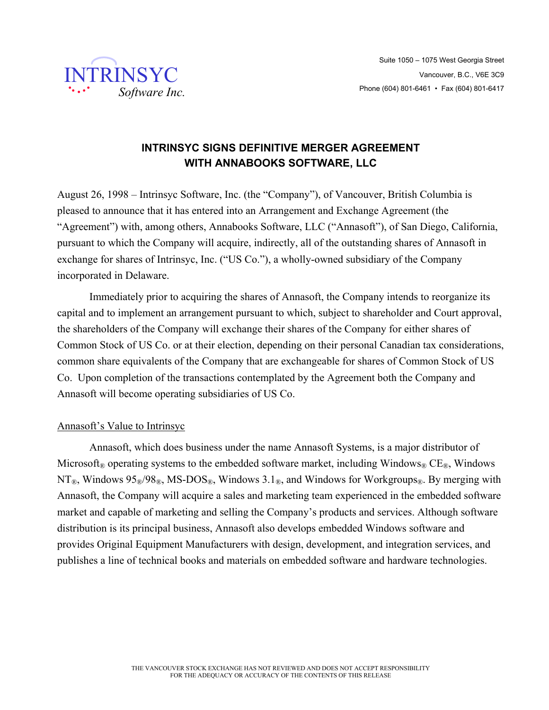

# **INTRINSYC SIGNS DEFINITIVE MERGER AGREEMENT WITH ANNABOOKS SOFTWARE, LLC**

August 26, 1998 – Intrinsyc Software, Inc. (the "Company"), of Vancouver, British Columbia is pleased to announce that it has entered into an Arrangement and Exchange Agreement (the "Agreement") with, among others, Annabooks Software, LLC ("Annasoft"), of San Diego, California, pursuant to which the Company will acquire, indirectly, all of the outstanding shares of Annasoft in exchange for shares of Intrinsyc, Inc. ("US Co."), a wholly-owned subsidiary of the Company incorporated in Delaware.

Immediately prior to acquiring the shares of Annasoft, the Company intends to reorganize its capital and to implement an arrangement pursuant to which, subject to shareholder and Court approval, the shareholders of the Company will exchange their shares of the Company for either shares of Common Stock of US Co. or at their election, depending on their personal Canadian tax considerations, common share equivalents of the Company that are exchangeable for shares of Common Stock of US Co. Upon completion of the transactions contemplated by the Agreement both the Company and Annasoft will become operating subsidiaries of US Co.

## Annasoft's Value to Intrinsyc

Annasoft, which does business under the name Annasoft Systems, is a major distributor of Microsoft<sup>®</sup> operating systems to the embedded software market, including Windows<sup>®</sup> CE<sup>®</sup>, Windows  $NT_{\mathcal{R}}$ , Windows  $95_{\mathcal{R}}/98_{\mathcal{R}}$ , MS-DOS<sub> $\mathcal{R}$ </sub>, Windows 3.1<sub> $\mathcal{R}$ </sub>, and Windows for Workgroups<sub> $\mathcal{R}$ </sub>. By merging with Annasoft, the Company will acquire a sales and marketing team experienced in the embedded software market and capable of marketing and selling the Company's products and services. Although software distribution is its principal business, Annasoft also develops embedded Windows software and provides Original Equipment Manufacturers with design, development, and integration services, and publishes a line of technical books and materials on embedded software and hardware technologies.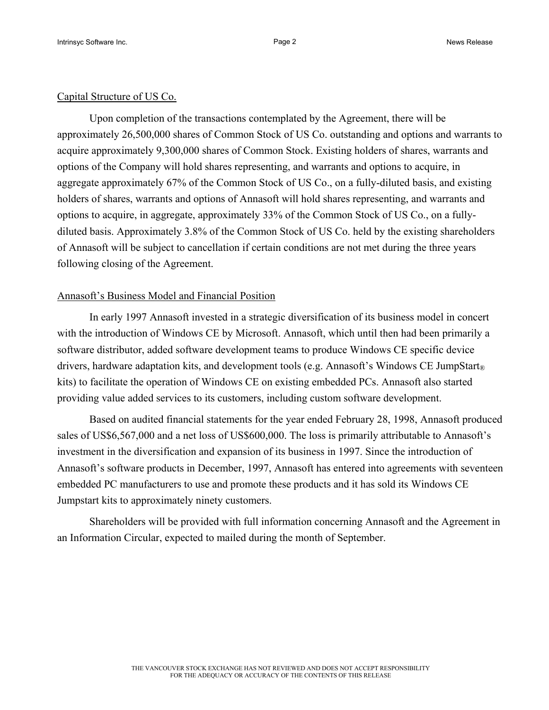#### Capital Structure of US Co.

Upon completion of the transactions contemplated by the Agreement, there will be approximately 26,500,000 shares of Common Stock of US Co. outstanding and options and warrants to acquire approximately 9,300,000 shares of Common Stock. Existing holders of shares, warrants and options of the Company will hold shares representing, and warrants and options to acquire, in aggregate approximately 67% of the Common Stock of US Co., on a fully-diluted basis, and existing holders of shares, warrants and options of Annasoft will hold shares representing, and warrants and options to acquire, in aggregate, approximately 33% of the Common Stock of US Co., on a fullydiluted basis. Approximately 3.8% of the Common Stock of US Co. held by the existing shareholders of Annasoft will be subject to cancellation if certain conditions are not met during the three years following closing of the Agreement.

### Annasoft's Business Model and Financial Position

In early 1997 Annasoft invested in a strategic diversification of its business model in concert with the introduction of Windows CE by Microsoft. Annasoft, which until then had been primarily a software distributor, added software development teams to produce Windows CE specific device drivers, hardware adaptation kits, and development tools (e.g. Annasoft's Windows CE JumpStart<sub>®</sub> kits) to facilitate the operation of Windows CE on existing embedded PCs. Annasoft also started providing value added services to its customers, including custom software development.

Based on audited financial statements for the year ended February 28, 1998, Annasoft produced sales of US\$6,567,000 and a net loss of US\$600,000. The loss is primarily attributable to Annasoft's investment in the diversification and expansion of its business in 1997. Since the introduction of Annasoft's software products in December, 1997, Annasoft has entered into agreements with seventeen embedded PC manufacturers to use and promote these products and it has sold its Windows CE Jumpstart kits to approximately ninety customers.

Shareholders will be provided with full information concerning Annasoft and the Agreement in an Information Circular, expected to mailed during the month of September.